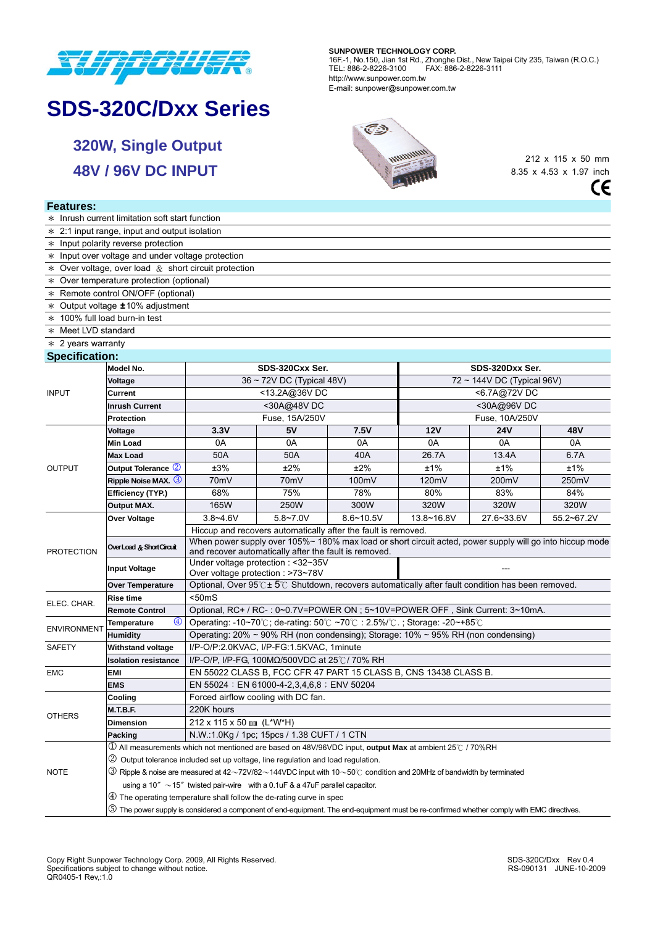

# **SDS-320C/Dxx Series**

**320W, Single Output 48V / 96V DC INPUT** 

#### **SUNPOWER TECHNOLOGY CORP.**

16F.-1, No.150, Jian 1st Rd., Zhonghe Dist., New Taipei City 235, Taiwan (R.O.C.) TEL: 886-2-8226-3100 FAX: 886-2-8226-3111 http://www.sunpower.com.tw E-mail: sunpower@sunpower.com.tw

> $\sqrt{2}$ unung

212 x 115 x 50 mm 8.35 x 4.53 x 1.97 inch $\mathsf{CE}$ 

### **Features:**

|                                                   | * Inrush current limitation soft start function                                                                                           |                                                                                                                                                                           |                                                                                      |               |                                 |            |            |  |  |  |  |  |  |
|---------------------------------------------------|-------------------------------------------------------------------------------------------------------------------------------------------|---------------------------------------------------------------------------------------------------------------------------------------------------------------------------|--------------------------------------------------------------------------------------|---------------|---------------------------------|------------|------------|--|--|--|--|--|--|
|                                                   | $\ast$ 2:1 input range, input and output isolation                                                                                        |                                                                                                                                                                           |                                                                                      |               |                                 |            |            |  |  |  |  |  |  |
|                                                   | $*$ Input polarity reverse protection                                                                                                     |                                                                                                                                                                           |                                                                                      |               |                                 |            |            |  |  |  |  |  |  |
| * Input over voltage and under voltage protection |                                                                                                                                           |                                                                                                                                                                           |                                                                                      |               |                                 |            |            |  |  |  |  |  |  |
|                                                   | * Over voltage, over load $\&$ short circuit protection                                                                                   |                                                                                                                                                                           |                                                                                      |               |                                 |            |            |  |  |  |  |  |  |
|                                                   | * Over temperature protection (optional)                                                                                                  |                                                                                                                                                                           |                                                                                      |               |                                 |            |            |  |  |  |  |  |  |
|                                                   | * Remote control ON/OFF (optional)                                                                                                        |                                                                                                                                                                           |                                                                                      |               |                                 |            |            |  |  |  |  |  |  |
|                                                   | * Output voltage ±10% adjustment                                                                                                          |                                                                                                                                                                           |                                                                                      |               |                                 |            |            |  |  |  |  |  |  |
| $*$ 100% full load burn-in test                   |                                                                                                                                           |                                                                                                                                                                           |                                                                                      |               |                                 |            |            |  |  |  |  |  |  |
| * Meet LVD standard                               |                                                                                                                                           |                                                                                                                                                                           |                                                                                      |               |                                 |            |            |  |  |  |  |  |  |
| $*$ 2 years warranty                              |                                                                                                                                           |                                                                                                                                                                           |                                                                                      |               |                                 |            |            |  |  |  |  |  |  |
| <b>Specification:</b>                             |                                                                                                                                           |                                                                                                                                                                           |                                                                                      |               |                                 |            |            |  |  |  |  |  |  |
|                                                   | Model No.                                                                                                                                 | SDS-320Cxx Ser.<br>SDS-320Dxx Ser.                                                                                                                                        |                                                                                      |               |                                 |            |            |  |  |  |  |  |  |
| <b>INPUT</b>                                      | Voltage                                                                                                                                   |                                                                                                                                                                           | 36 ~ 72V DC (Typical 48V)                                                            |               | $72 \sim 144V$ DC (Typical 96V) |            |            |  |  |  |  |  |  |
|                                                   | Current                                                                                                                                   |                                                                                                                                                                           | <13.2A@36VDC                                                                         |               | <6.7A@72VDC                     |            |            |  |  |  |  |  |  |
|                                                   | <b>Inrush Current</b>                                                                                                                     |                                                                                                                                                                           | <30A@48VDC                                                                           |               | <30A@96VDC                      |            |            |  |  |  |  |  |  |
|                                                   | Protection                                                                                                                                |                                                                                                                                                                           | Fuse, 15A/250V                                                                       |               | Fuse, 10A/250V                  |            |            |  |  |  |  |  |  |
|                                                   | Voltage                                                                                                                                   | 3.3V                                                                                                                                                                      | 5V                                                                                   | 7.5V          | 12V                             | <b>24V</b> | 48V        |  |  |  |  |  |  |
| <b>OUTPUT</b>                                     | Min Load                                                                                                                                  | 0A                                                                                                                                                                        | 0A                                                                                   | 0A            | 0A                              | 0A         | 0A         |  |  |  |  |  |  |
|                                                   | <b>Max Load</b>                                                                                                                           | 50A                                                                                                                                                                       | 50A                                                                                  | 40A           | 26.7A                           | 13.4A      | 6.7A       |  |  |  |  |  |  |
|                                                   | Output Tolerance 2                                                                                                                        | ±3%                                                                                                                                                                       | ±2%                                                                                  | ±2%           | ±1%                             | ±1%        | ±1%        |  |  |  |  |  |  |
|                                                   | Ripple Noise MAX. 3                                                                                                                       | 70 <sub>m</sub> V                                                                                                                                                         | 70mV                                                                                 | 100mV         | 120mV                           | 200mV      | 250mV      |  |  |  |  |  |  |
|                                                   | Efficiency (TYP.)                                                                                                                         | 68%                                                                                                                                                                       | 75%                                                                                  | 78%           | 80%                             | 83%        | 84%        |  |  |  |  |  |  |
|                                                   | <b>Output MAX.</b>                                                                                                                        | 165W                                                                                                                                                                      | 250W                                                                                 | 300W          | 320W                            | 320W       | 320W       |  |  |  |  |  |  |
|                                                   |                                                                                                                                           |                                                                                                                                                                           | $5.8 - 7.0V$                                                                         |               |                                 | 27.6~33.6V | 55.2~67.2V |  |  |  |  |  |  |
|                                                   | Over Voltage                                                                                                                              | $3.8 - 4.6V$                                                                                                                                                              |                                                                                      | $8.6 - 10.5V$ | 13.8~16.8V                      |            |            |  |  |  |  |  |  |
|                                                   |                                                                                                                                           | Hiccup and recovers automatically after the fault is removed.<br>When power supply over 105%~ 180% max load or short circuit acted, power supply will go into hiccup mode |                                                                                      |               |                                 |            |            |  |  |  |  |  |  |
| <b>PROTECTION</b>                                 | Over Load & Short Circuit                                                                                                                 | and recover automatically after the fault is removed.                                                                                                                     |                                                                                      |               |                                 |            |            |  |  |  |  |  |  |
|                                                   |                                                                                                                                           | Under voltage protection : <32~35V                                                                                                                                        |                                                                                      |               |                                 |            |            |  |  |  |  |  |  |
|                                                   | <b>Input Voltage</b>                                                                                                                      | Over voltage protection : >73~78V                                                                                                                                         |                                                                                      |               |                                 |            |            |  |  |  |  |  |  |
|                                                   | <b>Over Temperature</b>                                                                                                                   | Optional, Over $95^{\circ}$ C ± $5^{\circ}$ C Shutdown, recovers automatically after fault condition has been removed.                                                    |                                                                                      |               |                                 |            |            |  |  |  |  |  |  |
| ELEC. CHAR.                                       | Rise time                                                                                                                                 | $<$ 50 $ms$                                                                                                                                                               |                                                                                      |               |                                 |            |            |  |  |  |  |  |  |
|                                                   | <b>Remote Control</b>                                                                                                                     | Optional, RC+ / RC-: 0~0.7V=POWER ON ; 5~10V=POWER OFF, Sink Current: 3~10mA.                                                                                             |                                                                                      |               |                                 |            |            |  |  |  |  |  |  |
| <b>ENVIRONMENT</b>                                | $\bigcirc$<br><b>Temperature</b>                                                                                                          | Operating: -10~70°C; de-rating: 50°C ~70°C: 2.5%/°C: ; Storage: -20~+85°C                                                                                                 |                                                                                      |               |                                 |            |            |  |  |  |  |  |  |
|                                                   | <b>Humidity</b>                                                                                                                           | Operating: $20\% \sim 90\%$ RH (non condensing); Storage: $10\% \sim 95\%$ RH (non condensing)                                                                            |                                                                                      |               |                                 |            |            |  |  |  |  |  |  |
| SAFETY                                            | <b>Withstand voltage</b>                                                                                                                  | I/P-O/P:2.0KVAC, I/P-FG:1.5KVAC, 1minute                                                                                                                                  |                                                                                      |               |                                 |            |            |  |  |  |  |  |  |
|                                                   | <b>Isolation resistance</b>                                                                                                               | I/P-O/P, I/P-FG, 100ΜΩ/500VDC at 25°C/70% RH                                                                                                                              |                                                                                      |               |                                 |            |            |  |  |  |  |  |  |
| <b>EMC</b>                                        | <b>EMI</b>                                                                                                                                | EN 55022 CLASS B, FCC CFR 47 PART 15 CLASS B, CNS 13438 CLASS B.                                                                                                          |                                                                                      |               |                                 |            |            |  |  |  |  |  |  |
|                                                   | <b>EMS</b>                                                                                                                                | EN 55024 : EN 61000-4-2,3,4,6,8 ; ENV 50204                                                                                                                               |                                                                                      |               |                                 |            |            |  |  |  |  |  |  |
|                                                   | Cooling                                                                                                                                   | Forced airflow cooling with DC fan.                                                                                                                                       |                                                                                      |               |                                 |            |            |  |  |  |  |  |  |
| <b>OTHERS</b>                                     | M.T.B.F.                                                                                                                                  | 220K hours                                                                                                                                                                |                                                                                      |               |                                 |            |            |  |  |  |  |  |  |
|                                                   | <b>Dimension</b>                                                                                                                          | 212 x 115 x 50 $\text{mm}$ (L*W*H)                                                                                                                                        |                                                                                      |               |                                 |            |            |  |  |  |  |  |  |
|                                                   | Packing                                                                                                                                   | N.W.:1.0Kg / 1pc; 15pcs / 1.38 CUFT / 1 CTN                                                                                                                               |                                                                                      |               |                                 |            |            |  |  |  |  |  |  |
|                                                   | $\rm{U}$ All measurements which not mentioned are based on 48V/96VDC input, output Max at ambient 25°C / 70%RH                            |                                                                                                                                                                           |                                                                                      |               |                                 |            |            |  |  |  |  |  |  |
|                                                   | 2 Output tolerance included set up voltage, line regulation and load regulation.                                                          |                                                                                                                                                                           |                                                                                      |               |                                 |            |            |  |  |  |  |  |  |
| NOTE                                              | $\circled{3}$ Ripple & noise are measured at 42∼72V/82∼144VDC input with 10∼50℃ condition and 20MHz of bandwidth by terminated            |                                                                                                                                                                           |                                                                                      |               |                                 |            |            |  |  |  |  |  |  |
|                                                   |                                                                                                                                           |                                                                                                                                                                           | using a 10" $\sim$ 15" twisted pair-wire with a 0.1 uF & a 47 uF parallel capacitor. |               |                                 |            |            |  |  |  |  |  |  |
|                                                   | $\circled{4}$ The operating temperature shall follow the de-rating curve in spec                                                          |                                                                                                                                                                           |                                                                                      |               |                                 |            |            |  |  |  |  |  |  |
|                                                   | S The power supply is considered a component of end-equipment. The end-equipment must be re-confirmed whether comply with EMC directives. |                                                                                                                                                                           |                                                                                      |               |                                 |            |            |  |  |  |  |  |  |